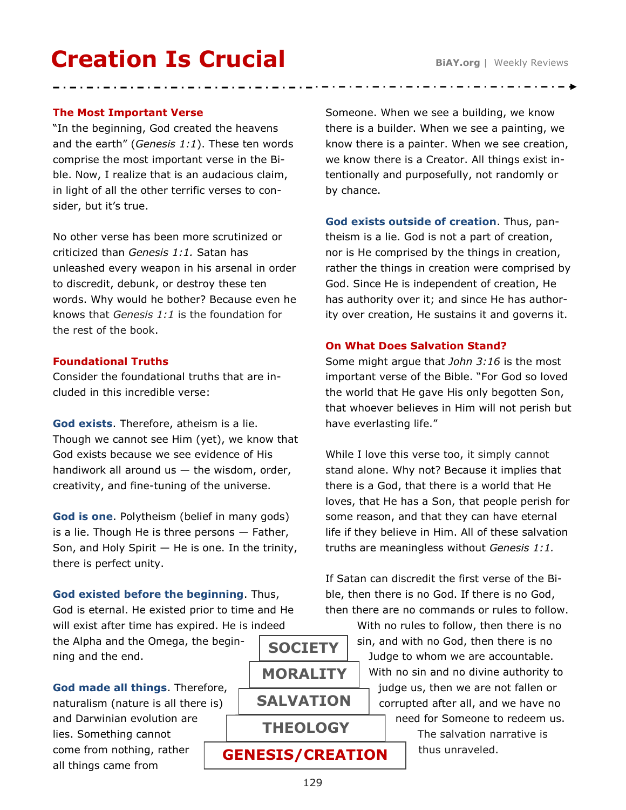# **Creation Is Crucial**

## **The Most Important Verse**

"In the beginning, God created the heavens and the earth" (*Genesis 1:1*). These ten words comprise the most important verse in the Bible. Now, I realize that is an audacious claim, in light of all the other terrific verses to consider, but it's true.

No other verse has been more scrutinized or criticized than *Genesis 1:1.* Satan has unleashed every weapon in his arsenal in order to discredit, debunk, or destroy these ten words. Why would he bother? Because even he knows that *Genesis 1:1* is the foundation for the rest of the book.

#### **Foundational Truths**

Consider the foundational truths that are included in this incredible verse:

**God exists**. Therefore, atheism is a lie. Though we cannot see Him (yet), we know that God exists because we see evidence of His handiwork all around us  $-$  the wisdom, order, creativity, and fine-tuning of the universe.

**God is one**. Polytheism (belief in many gods) is a lie. Though He is three persons  $-$  Father, Son, and Holy Spirit  $-$  He is one. In the trinity, there is perfect unity.

**God existed before the beginning**. Thus, God is eternal. He existed prior to time and He will exist after time has expired. He is indeed

the Alpha and the Omega, the beginning and the end.

**God made all things**. Therefore, naturalism (nature is all there is) and Darwinian evolution are lies. Something cannot come from nothing, rather all things came from

**SALVATION MORALITY SOCIETY**

**THEOLOGY**

**GENESIS/CREATION**

Someone. When we see a building, we know there is a builder. When we see a painting, we know there is a painter. When we see creation, we know there is a Creator. All things exist intentionally and purposefully, not randomly or by chance.

**God exists outside of creation**. Thus, pantheism is a lie. God is not a part of creation, nor is He comprised by the things in creation, rather the things in creation were comprised by God. Since He is independent of creation, He has authority over it; and since He has authority over creation, He sustains it and governs it.

#### **On What Does Salvation Stand?**

Some might argue that *John 3:16* is the most important verse of the Bible. "For God so loved the world that He gave His only begotten Son, that whoever believes in Him will not perish but have everlasting life."

While I love this verse too, it simply cannot stand alone. Why not? Because it implies that there is a God, that there is a world that He loves, that He has a Son, that people perish for some reason, and that they can have eternal life if they believe in Him. All of these salvation truths are meaningless without *Genesis 1:1.*

If Satan can discredit the first verse of the Bible, then there is no God. If there is no God, then there are no commands or rules to follow.

> With no rules to follow, then there is no sin, and with no God, then there is no Judge to whom we are accountable. With no sin and no divine authority to judge us, then we are not fallen or corrupted after all, and we have no need for Someone to redeem us.

> > The salvation narrative is thus unraveled.